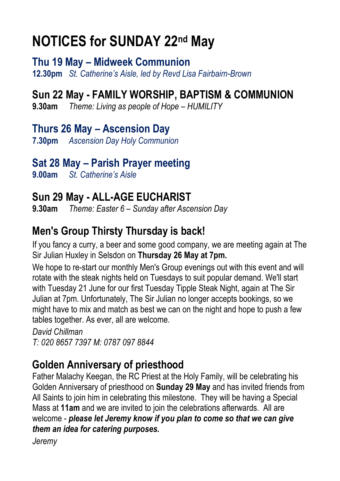# **NOTICES for SUNDAY 22nd May**

**Thu 19 May – Midweek Communion 12.30pm** *St. Catherine's Aisle, led by Revd Lisa Fairbairn-Brown*

#### **Sun 22 May - FAMILY WORSHIP, BAPTISM & COMMUNION**

**9.30am** *Theme: Living as people of Hope – HUMILITY*

**Thurs 26 May – Ascension Day 7.30pm** *Ascension Day Holy Communion*

#### **Sat 28 May – Parish Prayer meeting**

**9.00am** *St. Catherine's Aisle*

### **Sun 29 May - ALL-AGE EUCHARIST**

**9.30am** *Theme: Easter 6 – Sunday after Ascension Day*

#### **Men's Group Thirsty Thursday is back!**

If you fancy a curry, a beer and some good company, we are meeting again at The Sir Julian Huxley in Selsdon on **Thursday 26 May at 7pm.**

We hope to re-start our monthly Men's Group evenings out with this event and will rotate with the steak nights held on Tuesdays to suit popular demand. We'll start with Tuesday 21 June for our first Tuesday Tipple Steak Night, again at The Sir Julian at 7pm. Unfortunately, The Sir Julian no longer accepts bookings, so we might have to mix and match as best we can on the night and hope to push a few tables together. As ever, all are welcome.

*David Chillman T: 020 8657 7397 M: 0787 097 8844*

#### **Golden Anniversary of priesthood**

Father Malachy Keegan, the RC Priest at the Holy Family, will be celebrating his Golden Anniversary of priesthood on **Sunday 29 May** and has invited friends from All Saints to join him in celebrating this milestone. They will be having a Special Mass at **11am** and we are invited to join the celebrations afterwards. All are welcome - *please let Jeremy know if you plan to come so that we can give them an idea for catering purposes.*

*Jeremy*